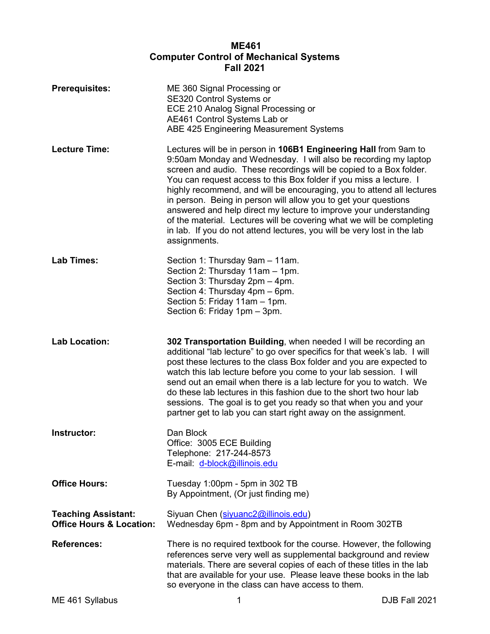# **ME461 Computer Control of Mechanical Systems Fall 2021**

| <b>Prerequisites:</b>                                             | ME 360 Signal Processing or<br>SE320 Control Systems or<br>ECE 210 Analog Signal Processing or<br>AE461 Control Systems Lab or<br>ABE 425 Engineering Measurement Systems                                                                                                                                                                                                                                                                                                                                                                                                                                                                                            |
|-------------------------------------------------------------------|----------------------------------------------------------------------------------------------------------------------------------------------------------------------------------------------------------------------------------------------------------------------------------------------------------------------------------------------------------------------------------------------------------------------------------------------------------------------------------------------------------------------------------------------------------------------------------------------------------------------------------------------------------------------|
| <b>Lecture Time:</b>                                              | Lectures will be in person in 106B1 Engineering Hall from 9am to<br>9:50am Monday and Wednesday. I will also be recording my laptop<br>screen and audio. These recordings will be copied to a Box folder.<br>You can request access to this Box folder if you miss a lecture. I<br>highly recommend, and will be encouraging, you to attend all lectures<br>in person. Being in person will allow you to get your questions<br>answered and help direct my lecture to improve your understanding<br>of the material. Lectures will be covering what we will be completing<br>in lab. If you do not attend lectures, you will be very lost in the lab<br>assignments. |
| <b>Lab Times:</b>                                                 | Section 1: Thursday 9am - 11am.<br>Section 2: Thursday 11am - 1pm.<br>Section 3: Thursday 2pm - 4pm.<br>Section 4: Thursday 4pm - 6pm.<br>Section 5: Friday 11am - 1pm.<br>Section 6: Friday 1pm - 3pm.                                                                                                                                                                                                                                                                                                                                                                                                                                                              |
| <b>Lab Location:</b>                                              | 302 Transportation Building, when needed I will be recording an<br>additional "lab lecture" to go over specifics for that week's lab. I will<br>post these lectures to the class Box folder and you are expected to<br>watch this lab lecture before you come to your lab session. I will<br>send out an email when there is a lab lecture for you to watch. We<br>do these lab lectures in this fashion due to the short two hour lab<br>sessions. The goal is to get you ready so that when you and your<br>partner get to lab you can start right away on the assignment.                                                                                         |
| Instructor:                                                       | Dan Block<br>Office: 3005 ECE Building<br>Telephone: 217-244-8573<br>E-mail: d-block@illinois.edu                                                                                                                                                                                                                                                                                                                                                                                                                                                                                                                                                                    |
| <b>Office Hours:</b>                                              | Tuesday 1:00pm - 5pm in 302 TB<br>By Appointment, (Or just finding me)                                                                                                                                                                                                                                                                                                                                                                                                                                                                                                                                                                                               |
| <b>Teaching Assistant:</b><br><b>Office Hours &amp; Location:</b> | Siyuan Chen (siyuanc2@illinois.edu)<br>Wednesday 6pm - 8pm and by Appointment in Room 302TB                                                                                                                                                                                                                                                                                                                                                                                                                                                                                                                                                                          |
| <b>References:</b>                                                | There is no required textbook for the course. However, the following<br>references serve very well as supplemental background and review<br>materials. There are several copies of each of these titles in the lab<br>that are available for your use. Please leave these books in the lab<br>so everyone in the class can have access to them.                                                                                                                                                                                                                                                                                                                      |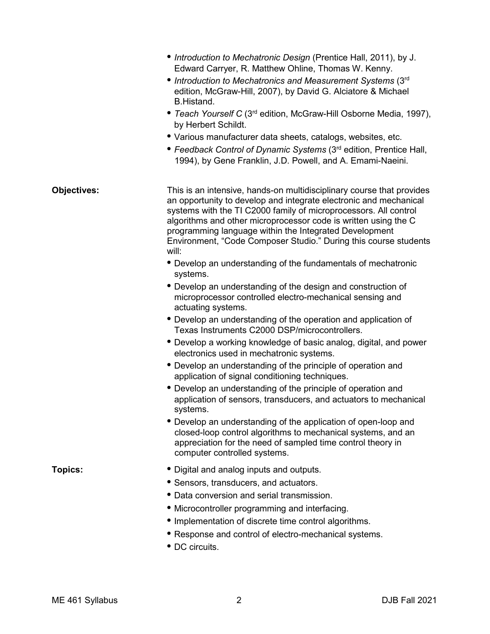|                    | • Introduction to Mechatronic Design (Prentice Hall, 2011), by J.<br>Edward Carryer, R. Matthew Ohline, Thomas W. Kenny.<br>• Introduction to Mechatronics and Measurement Systems (3rd<br>edition, McGraw-Hill, 2007), by David G. Alciatore & Michael<br>B.Histand.<br>• Teach Yourself C (3 <sup>rd</sup> edition, McGraw-Hill Osborne Media, 1997),<br>by Herbert Schildt.<br>• Various manufacturer data sheets, catalogs, websites, etc.<br>• Feedback Control of Dynamic Systems (3 <sup>rd</sup> edition, Prentice Hall,<br>1994), by Gene Franklin, J.D. Powell, and A. Emami-Naeini. |
|--------------------|------------------------------------------------------------------------------------------------------------------------------------------------------------------------------------------------------------------------------------------------------------------------------------------------------------------------------------------------------------------------------------------------------------------------------------------------------------------------------------------------------------------------------------------------------------------------------------------------|
| <b>Objectives:</b> | This is an intensive, hands-on multidisciplinary course that provides<br>an opportunity to develop and integrate electronic and mechanical<br>systems with the TI C2000 family of microprocessors. All control<br>algorithms and other microprocessor code is written using the C<br>programming language within the Integrated Development<br>Environment, "Code Composer Studio." During this course students<br>will:                                                                                                                                                                       |
|                    | • Develop an understanding of the fundamentals of mechatronic<br>systems.                                                                                                                                                                                                                                                                                                                                                                                                                                                                                                                      |
|                    | • Develop an understanding of the design and construction of<br>microprocessor controlled electro-mechanical sensing and<br>actuating systems.                                                                                                                                                                                                                                                                                                                                                                                                                                                 |
|                    | • Develop an understanding of the operation and application of<br>Texas Instruments C2000 DSP/microcontrollers.                                                                                                                                                                                                                                                                                                                                                                                                                                                                                |
|                    | • Develop a working knowledge of basic analog, digital, and power<br>electronics used in mechatronic systems.                                                                                                                                                                                                                                                                                                                                                                                                                                                                                  |
|                    | • Develop an understanding of the principle of operation and<br>application of signal conditioning techniques.                                                                                                                                                                                                                                                                                                                                                                                                                                                                                 |
|                    | • Develop an understanding of the principle of operation and<br>application of sensors, transducers, and actuators to mechanical<br>systems.                                                                                                                                                                                                                                                                                                                                                                                                                                                   |
|                    | • Develop an understanding of the application of open-loop and<br>closed-loop control algorithms to mechanical systems, and an<br>appreciation for the need of sampled time control theory in<br>computer controlled systems.                                                                                                                                                                                                                                                                                                                                                                  |
| <b>Topics:</b>     | • Digital and analog inputs and outputs.                                                                                                                                                                                                                                                                                                                                                                                                                                                                                                                                                       |
|                    | • Sensors, transducers, and actuators.                                                                                                                                                                                                                                                                                                                                                                                                                                                                                                                                                         |
|                    | • Data conversion and serial transmission.                                                                                                                                                                                                                                                                                                                                                                                                                                                                                                                                                     |
|                    | • Microcontroller programming and interfacing.                                                                                                                                                                                                                                                                                                                                                                                                                                                                                                                                                 |
|                    | • Implementation of discrete time control algorithms.                                                                                                                                                                                                                                                                                                                                                                                                                                                                                                                                          |
|                    | • Response and control of electro-mechanical systems.                                                                                                                                                                                                                                                                                                                                                                                                                                                                                                                                          |

**•** DC circuits.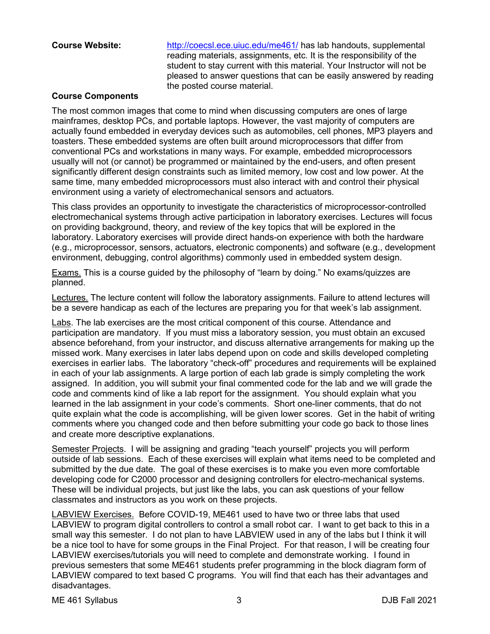**Course Website:** <http://coecsl.ece.uiuc.edu/me461/> has lab handouts, supplemental reading materials, assignments, etc. It is the responsibility of the student to stay current with this material. Your Instructor will not be pleased to answer questions that can be easily answered by reading the posted course material.

#### **Course Components**

The most common images that come to mind when discussing computers are ones of large mainframes, desktop PCs, and portable laptops. However, the vast majority of computers are actually found embedded in everyday devices such as automobiles, cell phones, MP3 players and toasters. These embedded systems are often built around microprocessors that differ from conventional PCs and workstations in many ways. For example, embedded microprocessors usually will not (or cannot) be programmed or maintained by the end-users, and often present significantly different design constraints such as limited memory, low cost and low power. At the same time, many embedded microprocessors must also interact with and control their physical environment using a variety of electromechanical sensors and actuators.

This class provides an opportunity to investigate the characteristics of microprocessor-controlled electromechanical systems through active participation in laboratory exercises. Lectures will focus on providing background, theory, and review of the key topics that will be explored in the laboratory. Laboratory exercises will provide direct hands-on experience with both the hardware (e.g., microprocessor, sensors, actuators, electronic components) and software (e.g., development environment, debugging, control algorithms) commonly used in embedded system design.

Exams. This is a course guided by the philosophy of "learn by doing." No exams/quizzes are planned.

Lectures. The lecture content will follow the laboratory assignments. Failure to attend lectures will be a severe handicap as each of the lectures are preparing you for that week's lab assignment.

Labs. The lab exercises are the most critical component of this course. Attendance and participation are mandatory. If you must miss a laboratory session, you must obtain an excused absence beforehand, from your instructor, and discuss alternative arrangements for making up the missed work. Many exercises in later labs depend upon on code and skills developed completing exercises in earlier labs. The laboratory "check-off" procedures and requirements will be explained in each of your lab assignments. A large portion of each lab grade is simply completing the work assigned. In addition, you will submit your final commented code for the lab and we will grade the code and comments kind of like a lab report for the assignment. You should explain what you learned in the lab assignment in your code's comments. Short one-liner comments, that do not quite explain what the code is accomplishing, will be given lower scores. Get in the habit of writing comments where you changed code and then before submitting your code go back to those lines and create more descriptive explanations.

Semester Projects. I will be assigning and grading "teach yourself" projects you will perform outside of lab sessions. Each of these exercises will explain what items need to be completed and submitted by the due date. The goal of these exercises is to make you even more comfortable developing code for C2000 processor and designing controllers for electro-mechanical systems. These will be individual projects, but just like the labs, you can ask questions of your fellow classmates and instructors as you work on these projects.

LABVIEW Exercises. Before COVID-19, ME461 used to have two or three labs that used LABVIEW to program digital controllers to control a small robot car. I want to get back to this in a small way this semester. I do not plan to have LABVIEW used in any of the labs but I think it will be a nice tool to have for some groups in the Final Project. For that reason, I will be creating four LABVIEW exercises/tutorials you will need to complete and demonstrate working. I found in previous semesters that some ME461 students prefer programming in the block diagram form of LABVIEW compared to text based C programs. You will find that each has their advantages and disadvantages.

ME 461 Syllabus 3 DJB Fall 2021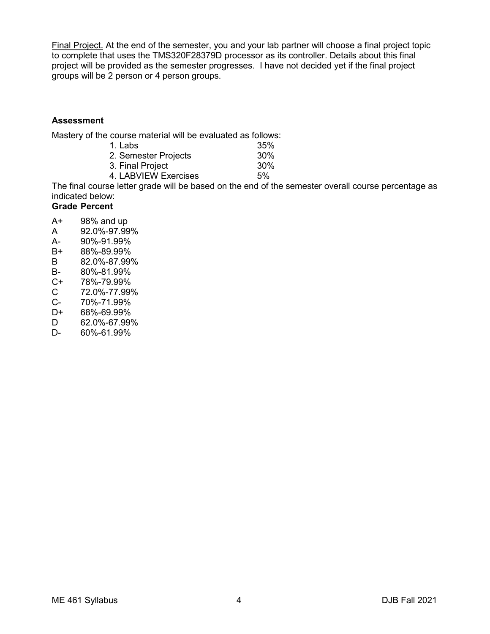Final Project. At the end of the semester, you and your lab partner will choose a final project topic to complete that uses the TMS320F28379D processor as its controller. Details about this final project will be provided as the semester progresses. I have not decided yet if the final project groups will be 2 person or 4 person groups.

#### **Assessment**

Mastery of the course material will be evaluated as follows:

| 1. Labs              | 35% |
|----------------------|-----|
| 2. Semester Projects | 30% |
| 3. Final Project     | 30% |
| 4. LABVIEW Exercises | 5%  |

The final course letter grade will be based on the end of the semester overall course percentage as indicated below:

## **Grade Percent**

- A+ 98% and up
- A 92.0%-97.99%
- A- 90%-91.99%<br>B+ 88%-89.99%
- 88%-89.99%
- B 82.0%-87.99%
- B- 80%-81.99%<br>C+ 78%-79.99%
- 78%-79.99%
- C 72.0%-77.99%
- C- 70%-71.99%<br>D+ 68%-69.99%
- D+ 68%-69.99%<br>D 62.0%-67.99%
- D 62.0%-67.99%
- D- 60%-61.99%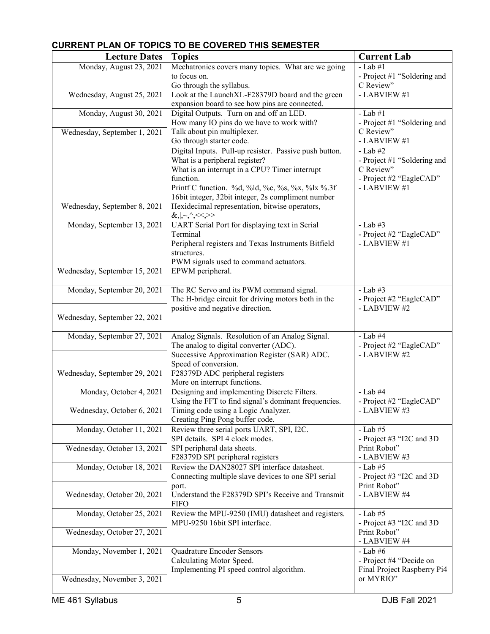# **CURRENT PLAN OF TOPICS TO BE COVERED THIS SEMESTER**

| <b>Lecture Dates</b>                                    | <b>Topics</b>                                                                                                                                                                                                                                                                                                       | <b>Current Lab</b>                                                                                |
|---------------------------------------------------------|---------------------------------------------------------------------------------------------------------------------------------------------------------------------------------------------------------------------------------------------------------------------------------------------------------------------|---------------------------------------------------------------------------------------------------|
| Monday, August 23, 2021                                 | Mechatronics covers many topics. What are we going<br>to focus on.<br>Go through the syllabus.                                                                                                                                                                                                                      | $-Lab \#1$<br>- Project #1 "Soldering and<br>C Review"                                            |
| Wednesday, August 25, 2021                              | Look at the LaunchXL-F28379D board and the green<br>expansion board to see how pins are connected.                                                                                                                                                                                                                  | - LABVIEW #1                                                                                      |
| Monday, August 30, 2021                                 | Digital Outputs. Turn on and off an LED.<br>How many IO pins do we have to work with?                                                                                                                                                                                                                               | $-Lab \#1$<br>- Project #1 "Soldering and                                                         |
| Wednesday, September 1, 2021                            | Talk about pin multiplexer.<br>Go through starter code.                                                                                                                                                                                                                                                             | C Review"<br>- LABVIEW #1                                                                         |
| Wednesday, September 8, 2021                            | Digital Inputs. Pull-up resister. Passive push button.<br>What is a peripheral register?<br>What is an interrupt in a CPU? Timer interrupt<br>function.<br>Printf C function. %d, %ld, %c, %s, %x, %lx %.3f<br>16bit integer, 32bit integer, 2s compliment number<br>Hexidecimal representation, bitwise operators, | $-Lab \#2$<br>- Project #1 "Soldering and<br>C Review"<br>- Project #2 "EagleCAD"<br>- LABVIEW #1 |
|                                                         | $\&,  , \sim, \land, <<, >>$                                                                                                                                                                                                                                                                                        |                                                                                                   |
| Monday, September 13, 2021                              | UART Serial Port for displaying text in Serial<br>Terminal<br>Peripheral registers and Texas Instruments Bitfield<br>structures.<br>PWM signals used to command actuators.                                                                                                                                          | $-Lab \#3$<br>- Project #2 "EagleCAD"<br>- LABVIEW #1                                             |
| Wednesday, September 15, 2021                           | EPWM peripheral.                                                                                                                                                                                                                                                                                                    |                                                                                                   |
| Monday, September 20, 2021                              | The RC Servo and its PWM command signal.<br>The H-bridge circuit for driving motors both in the<br>positive and negative direction.                                                                                                                                                                                 | $-Lab \#3$<br>- Project #2 "EagleCAD"<br>- LABVIEW #2                                             |
| Wednesday, September 22, 2021                           |                                                                                                                                                                                                                                                                                                                     |                                                                                                   |
| Monday, September 27, 2021                              | Analog Signals. Resolution of an Analog Signal.<br>The analog to digital converter (ADC).<br>Successive Approximation Register (SAR) ADC.<br>Speed of conversion.                                                                                                                                                   | $-Lab$ #4<br>- Project #2 "EagleCAD"<br>- LABVIEW #2                                              |
| Wednesday, September 29, 2021                           | F28379D ADC peripheral registers<br>More on interrupt functions.                                                                                                                                                                                                                                                    |                                                                                                   |
| Monday, October 4, 2021                                 | Designing and implementing Discrete Filters.<br>Using the FFT to find signal's dominant frequencies.                                                                                                                                                                                                                | $-Lab$ #4<br>- Project #2 "EagleCAD"                                                              |
| Wednesday, October 6, 2021                              | Timing code using a Logic Analyzer.<br>Creating Ping Pong buffer code.                                                                                                                                                                                                                                              | - LABVIEW #3                                                                                      |
| Monday, October 11, 2021                                | Review three serial ports UART, SPI, I2C.<br>SPI details. SPI 4 clock modes.                                                                                                                                                                                                                                        | $-Lab \#5$<br>- Project #3 "I2C and 3D                                                            |
| Wednesday, October 13, 2021                             | SPI peripheral data sheets.<br>F28379D SPI peripheral registers                                                                                                                                                                                                                                                     | Print Robot"<br>- LABVIEW #3                                                                      |
| Monday, October 18, 2021                                | Review the DAN28027 SPI interface datasheet.<br>Connecting multiple slave devices to one SPI serial<br>port.                                                                                                                                                                                                        | $-Lab \#5$<br>- Project #3 "I2C and 3D<br>Print Robot"                                            |
| Wednesday, October 20, 2021                             | Understand the F28379D SPI's Receive and Transmit<br><b>FIFO</b>                                                                                                                                                                                                                                                    | - LABVIEW #4                                                                                      |
| Monday, October 25, 2021<br>Wednesday, October 27, 2021 | Review the MPU-9250 (IMU) datasheet and registers.<br>MPU-9250 16bit SPI interface.                                                                                                                                                                                                                                 | - Lab $#5$<br>- Project #3 "I2C and 3D<br>Print Robot"                                            |
|                                                         |                                                                                                                                                                                                                                                                                                                     | - LABVIEW #4                                                                                      |
| Monday, November 1, 2021                                | Quadrature Encoder Sensors<br>Calculating Motor Speed.<br>Implementing PI speed control algorithm.                                                                                                                                                                                                                  | - Lab $\#6$<br>- Project #4 "Decide on<br>Final Project Raspberry Pi4                             |
| Wednesday, November 3, 2021                             |                                                                                                                                                                                                                                                                                                                     | or MYRIO"                                                                                         |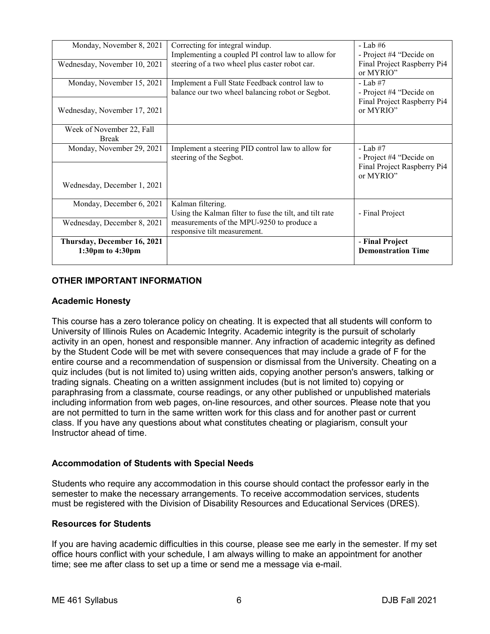| Monday, November 8, 2021     | Correcting for integral windup.                         | - Lab $#6$                  |
|------------------------------|---------------------------------------------------------|-----------------------------|
|                              | Implementing a coupled PI control law to allow for      | - Project #4 "Decide on     |
| Wednesday, November 10, 2021 | steering of a two wheel plus caster robot car.          | Final Project Raspberry Pi4 |
|                              |                                                         | or MYRIO"                   |
| Monday, November 15, 2021    | Implement a Full State Feedback control law to          | $-Lab \#7$                  |
|                              | balance our two wheel balancing robot or Segbot.        | - Project #4 "Decide on     |
|                              |                                                         | Final Project Raspberry Pi4 |
| Wednesday, November 17, 2021 |                                                         | or MYRIO"                   |
|                              |                                                         |                             |
| Week of November 22, Fall    |                                                         |                             |
| <b>Break</b>                 |                                                         |                             |
| Monday, November 29, 2021    | Implement a steering PID control law to allow for       | $-Lab \#7$                  |
|                              | steering of the Segbot.                                 | - Project #4 "Decide on     |
|                              |                                                         | Final Project Raspberry Pi4 |
|                              |                                                         | or MYRIO"                   |
| Wednesday, December 1, 2021  |                                                         |                             |
|                              |                                                         |                             |
| Monday, December 6, 2021     | Kalman filtering.                                       |                             |
|                              | Using the Kalman filter to fuse the tilt, and tilt rate | - Final Project             |
| Wednesday, December 8, 2021  | measurements of the MPU-9250 to produce a               |                             |
|                              | responsive tilt measurement.                            |                             |
| Thursday, December 16, 2021  |                                                         | - Final Project             |
| 1:30pm to 4:30pm             |                                                         | <b>Demonstration Time</b>   |
|                              |                                                         |                             |

## **OTHER IMPORTANT INFORMATION**

### **Academic Honesty**

This course has a zero tolerance policy on cheating. It is expected that all students will conform to University of Illinois Rules on Academic Integrity. Academic integrity is the pursuit of scholarly activity in an open, honest and responsible manner. Any infraction of academic integrity as defined by the Student Code will be met with severe consequences that may include a grade of F for the entire course and a recommendation of suspension or dismissal from the University. Cheating on a quiz includes (but is not limited to) using written aids, copying another person's answers, talking or trading signals. Cheating on a written assignment includes (but is not limited to) copying or paraphrasing from a classmate, course readings, or any other published or unpublished materials including information from web pages, on-line resources, and other sources. Please note that you are not permitted to turn in the same written work for this class and for another past or current class. If you have any questions about what constitutes cheating or plagiarism, consult your Instructor ahead of time.

### **Accommodation of Students with Special Needs**

Students who require any accommodation in this course should contact the professor early in the semester to make the necessary arrangements. To receive accommodation services, students must be registered with the Division of Disability Resources and Educational Services (DRES).

#### **Resources for Students**

If you are having academic difficulties in this course, please see me early in the semester. If my set office hours conflict with your schedule, I am always willing to make an appointment for another time; see me after class to set up a time or send me a message via e-mail.